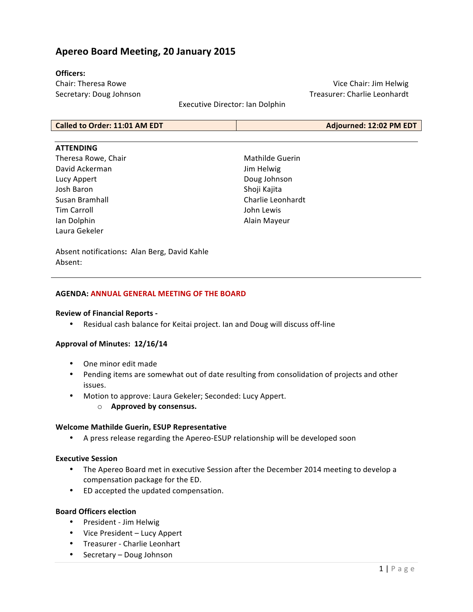## **Apereo Board Meeting, 20 January 2015**

#### **Officers:**

Chair: Theresa Rowe Secretary: Doug Johnson

Vice Chair: Jim Helwig Treasurer: Charlie Leonhardt

Executive Director: Ian Dolphin

| Called to Order: 11:01 AM EDT | Adjourned: 12:02 PM EDT |
|-------------------------------|-------------------------|
|-------------------------------|-------------------------|

#### **ATTENDING**

Theresa Rowe, Chair David Ackerman Lucy Appert Josh Baron Susan Bramhall Tim Carroll Ian Dolphin Laura Gekeler

Mathilde Guerin Jim Helwig Doug Johnson Shoji Kajita Charlie Leonhardt John Lewis Alain Mayeur

Absent notifications: Alan Berg, David Kahle Absent:

#### **AGENDA: ANNUAL GENERAL MEETING OF THE BOARD**

#### **Review of Financial Reports -**

• Residual cash balance for Keitai project. Ian and Doug will discuss off-line

#### Approval of Minutes: 12/16/14

- One minor edit made
- Pending items are somewhat out of date resulting from consolidation of projects and other issues.
- Motion to approve: Laura Gekeler; Seconded: Lucy Appert.
	- $\circ$  **Approved by consensus.**

#### **Welcome Mathilde Guerin, ESUP Representative**

• A press release regarding the Apereo-ESUP relationship will be developed soon

#### **Executive Session**

- The Apereo Board met in executive Session after the December 2014 meeting to develop a compensation package for the ED.
- ED accepted the updated compensation.

#### **Board Officers election**

- President Jim Helwig
- Vice President Lucy Appert
- Treasurer Charlie Leonhart
- Secretary Doug Johnson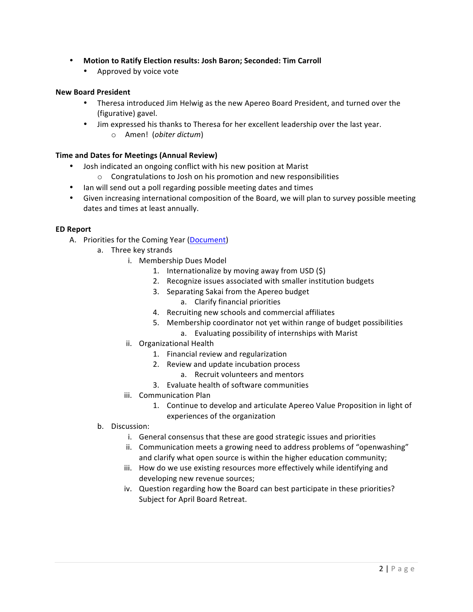- Motion to Ratify Election results: Josh Baron; Seconded: Tim Carroll
	- Approved by voice vote

#### **New Board President**

- Theresa introduced Jim Helwig as the new Apereo Board President, and turned over the (figurative) gavel.
- Jim expressed his thanks to Theresa for her excellent leadership over the last year.
	- o Amen! (*obiter dictum*)

## **Time and Dates for Meetings (Annual Review)**

- Josh indicated an ongoing conflict with his new position at Marist
	- $\circ$  Congratulations to Josh on his promotion and new responsibilities
- Ian will send out a poll regarding possible meeting dates and times
- Given increasing international composition of the Board, we will plan to survey possible meeting dates and times at least annually.

#### **ED Report**

- A. Priorities for the Coming Year (Document)
	- a. Three key strands
		- i. Membership Dues Model
			- 1. Internationalize by moving away from USD  $(\xi)$
			- 2. Recognize issues associated with smaller institution budgets
			- 3. Separating Sakai from the Apereo budget
				- a. Clarify financial priorities
			- 4. Recruiting new schools and commercial affiliates
			- 5. Membership coordinator not yet within range of budget possibilities
				- a. Evaluating possibility of internships with Marist
		- ii. Organizational Health
			- 1. Financial review and regularization
			- 2. Review and update incubation process
				- a. Recruit volunteers and mentors
			- 3. Evaluate health of software communities
		- iii. Communication Plan
			- 1. Continue to develop and articulate Apereo Value Proposition in light of experiences of the organization
	- b. Discussion:
		- i. General consensus that these are good strategic issues and priorities
		- ii. Communication meets a growing need to address problems of "openwashing" and clarify what open source is within the higher education community;
		- iii. How do we use existing resources more effectively while identifying and developing new revenue sources;
		- iv. Question regarding how the Board can best participate in these priorities? Subject for April Board Retreat.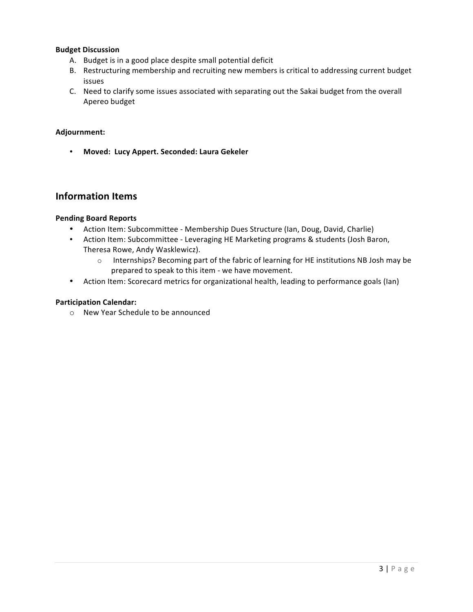## **Budget Discussion**

- A. Budget is in a good place despite small potential deficit
- B. Restructuring membership and recruiting new members is critical to addressing current budget issues
- C. Need to clarify some issues associated with separating out the Sakai budget from the overall Apereo budget

## **Adjournment:**

• **Moved: Lucy Appert. Seconded: Laura Gekeler** 

## **Information Items**

## **Pending Board Reports**

- Action Item: Subcommittee Membership Dues Structure (Ian, Doug, David, Charlie)
- Action Item: Subcommittee Leveraging HE Marketing programs & students (Josh Baron, Theresa Rowe, Andy Wasklewicz).
	- o Internships? Becoming part of the fabric of learning for HE institutions NB Josh may be prepared to speak to this item - we have movement.
- Action Item: Scorecard metrics for organizational health, leading to performance goals (Ian)

## **Participation Calendar:**

 $\circ$  New Year Schedule to be announced